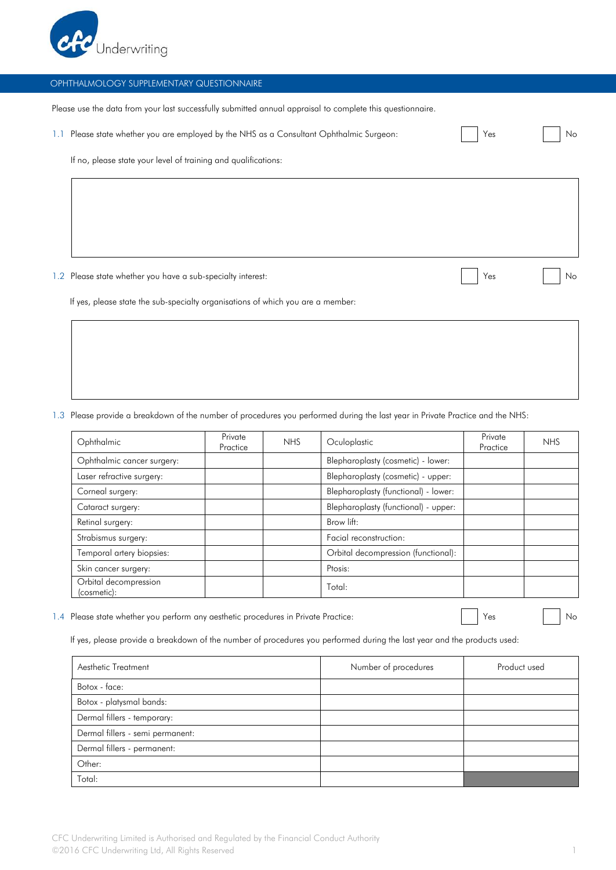

Please use the data from your last successfully submitted annual appraisal to complete this questionnaire.

| 1.1 Please state whether you are employed by the NHS as a Consultant Ophthalmic Surgeon: | Yes |  | Nc |
|------------------------------------------------------------------------------------------|-----|--|----|
|------------------------------------------------------------------------------------------|-----|--|----|

If no, please state your level of training and qualifications:

1.2 Please state whether you have a sub-specialty interest: No was not a sub-specialty interest: No was not a sub-specialty interest:

If yes, please state the sub-specialty organisations of which you are a member:

1.3 Please provide a breakdown of the number of procedures you performed during the last year in Private Practice and the NHS:

| Ophthalmic                           | Private<br>Practice | <b>NHS</b>                          | Oculoplastic                         | Private<br>Practice | <b>NHS</b> |
|--------------------------------------|---------------------|-------------------------------------|--------------------------------------|---------------------|------------|
| Ophthalmic cancer surgery:           |                     |                                     | Blepharoplasty (cosmetic) - lower:   |                     |            |
| Laser refractive surgery:            |                     |                                     | Blepharoplasty (cosmetic) - upper:   |                     |            |
| Corneal surgery:                     |                     |                                     | Blepharoplasty (functional) - lower: |                     |            |
| Cataract surgery:                    |                     |                                     | Blepharoplasty (functional) - upper: |                     |            |
| Retinal surgery:                     | Brow lift:          |                                     |                                      |                     |            |
| Strabismus surgery:                  |                     | Facial reconstruction:              |                                      |                     |            |
| Temporal artery biopsies:            |                     | Orbital decompression (functional): |                                      |                     |            |
| Skin cancer surgery:                 |                     |                                     | Ptosis:                              |                     |            |
| Orbital decompression<br>(cosmetic): |                     |                                     | Total:                               |                     |            |

1.4 Please state whether you perform any aesthetic procedures in Private Practice: November 2014 | Yes November 2016

If yes, please provide a breakdown of the number of procedures you performed during the last year and the products used:

| Aesthetic Treatment              | Number of procedures | Product used |
|----------------------------------|----------------------|--------------|
| Botox - face:                    |                      |              |
| Botox - platysmal bands:         |                      |              |
| Dermal fillers - temporary:      |                      |              |
| Dermal fillers - semi permanent: |                      |              |
| Dermal fillers - permanent:      |                      |              |
| Other:                           |                      |              |
| Total:                           |                      |              |